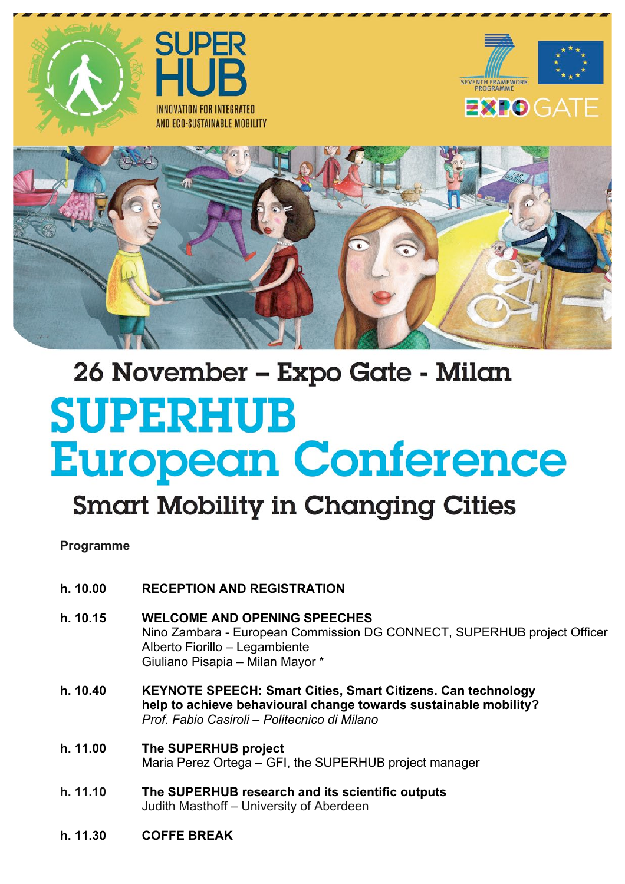







# 26 November - Expo Gate - Milan **SUPERHUB European Conference**

## **Smart Mobility in Changing Cities**

**Programme**

- **h. 10.00 RECEPTION AND REGISTRATION**
- **h. 10.15 WELCOME AND OPENING SPEECHES** Nino Zambara - European Commission DG CONNECT, SUPERHUB project Officer Alberto Fiorillo – Legambiente Giuliano Pisapia – Milan Mayor \*
- **h. 10.40 KEYNOTE SPEECH: Smart Cities, Smart Citizens. Can technology help to achieve behavioural change towards sustainable mobility?** *Prof. Fabio Casiroli – Politecnico di Milano*
- **h. 11.00 The SUPERHUB project** Maria Perez Ortega – GFI, the SUPERHUB project manager
- **h. 11.10 The SUPERHUB research and its scientific outputs** Judith Masthoff – University of Aberdeen
- **h. 11.30 COFFE BREAK**